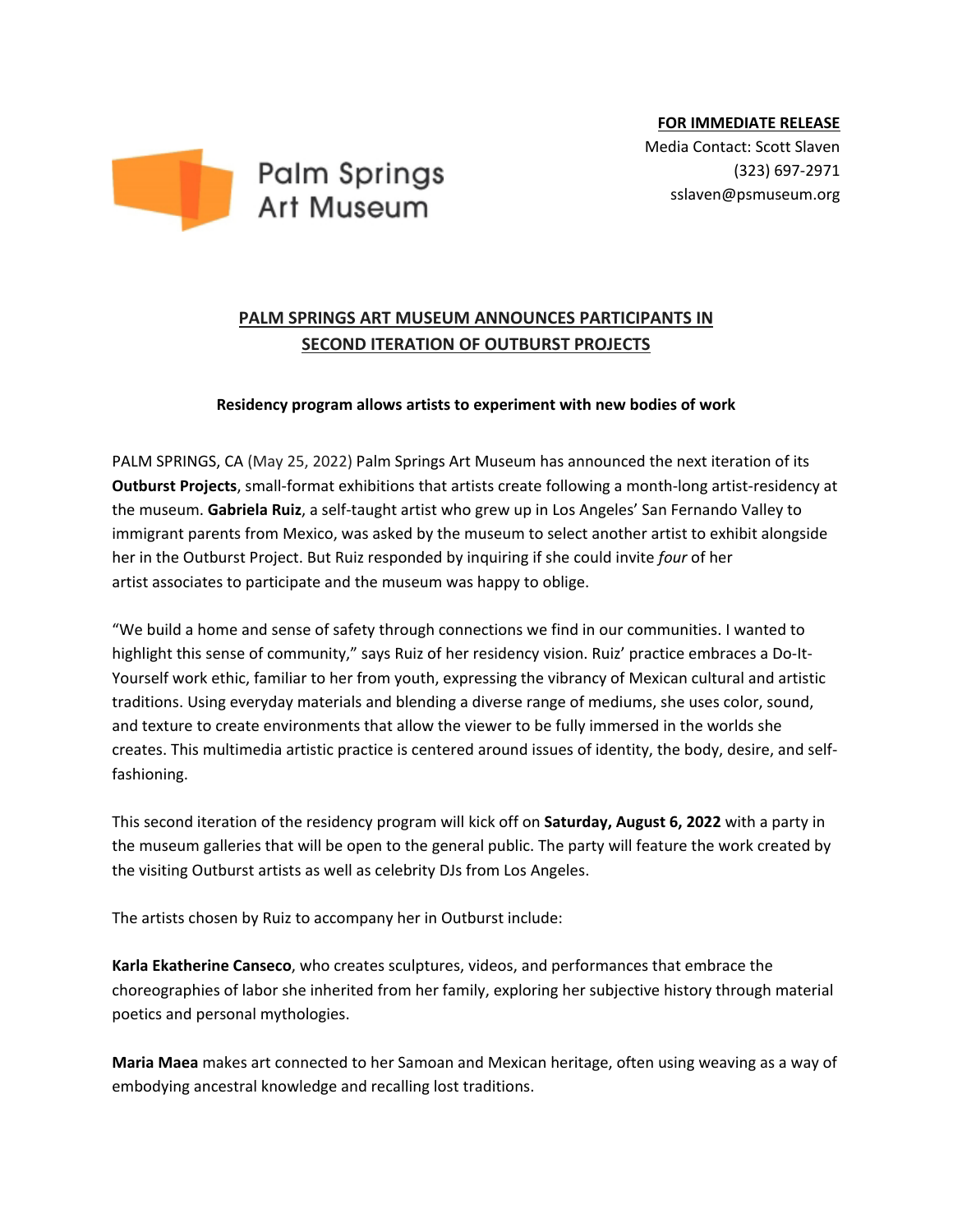





## **PALM SPRINGS ART MUSEUM ANNOUNCES PARTICIPANTS IN SECOND ITERATION OF OUTBURST PROJECTS**

## **Residency program allows artists to experiment with new bodies of work**

PALM SPRINGS, CA (May 25, 2022) Palm Springs Art Museum has announced the next iteration of its **Outburst Projects**, small-format exhibitions that artists create following a month-long artist-residency at the museum. **Gabriela Ruiz**, a self-taught artist who grew up in Los Angeles' San Fernando Valley to immigrant parents from Mexico, was asked by the museum to select another artist to exhibit alongside her in the Outburst Project. But Ruiz responded by inquiring if she could invite *four* of her artist associates to participate and the museum was happy to oblige.

"We build a home and sense of safety through connections we find in our communities. I wanted to highlight this sense of community," says Ruiz of her residency vision. Ruiz' practice embraces a Do-It-Yourself work ethic, familiar to her from youth, expressing the vibrancy of Mexican cultural and artistic traditions. Using everyday materials and blending a diverse range of mediums, she uses color, sound, and texture to create environments that allow the viewer to be fully immersed in the worlds she creates. This multimedia artistic practice is centered around issues of identity, the body, desire, and selffashioning.

This second iteration of the residency program will kick off on **Saturday, August 6, 2022** with a party in the museum galleries that will be open to the general public. The party will feature the work created by the visiting Outburst artists as well as celebrity DJs from Los Angeles.

The artists chosen by Ruiz to accompany her in Outburst include:

**Karla Ekatherine Canseco**, who creates sculptures, videos, and performances that embrace the choreographies of labor she inherited from her family, exploring her subjective history through material poetics and personal mythologies.

**Maria Maea** makes art connected to her Samoan and Mexican heritage, often using weaving as a way of embodying ancestral knowledge and recalling lost traditions.